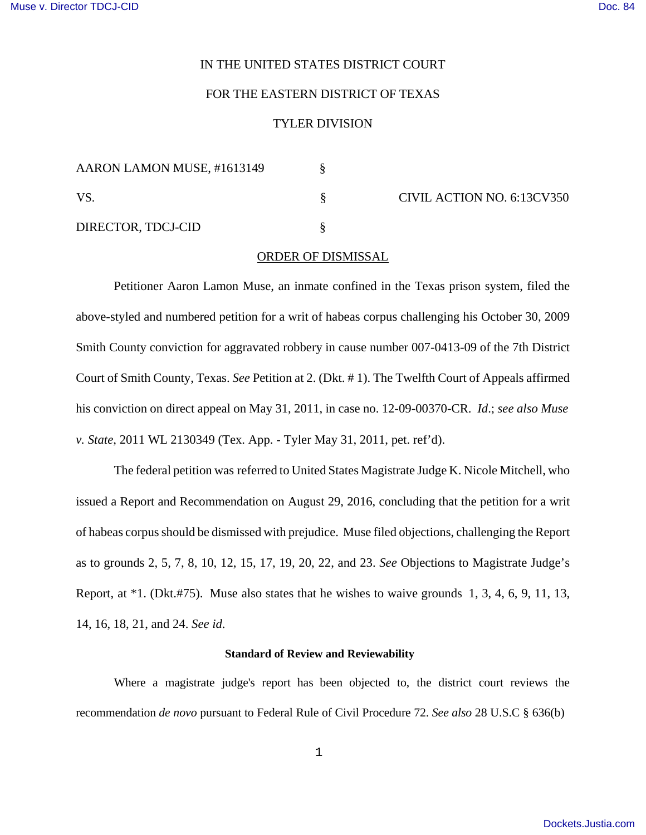# IN THE UNITED STATES DISTRICT COURT

# FOR THE EASTERN DISTRICT OF TEXAS

## TYLER DIVISION

| AARON LAMON MUSE, #1613149 |  |
|----------------------------|--|
| VS.                        |  |
| DIRECTOR, TDCJ-CID         |  |

CIVIL ACTION NO. 6:13CV350

#### ORDER OF DISMISSAL

Petitioner Aaron Lamon Muse, an inmate confined in the Texas prison system, filed the above-styled and numbered petition for a writ of habeas corpus challenging his October 30, 2009 Smith County conviction for aggravated robbery in cause number 007-0413-09 of the 7th District Court of Smith County, Texas. *See* Petition at 2. (Dkt. # 1). The Twelfth Court of Appeals affirmed his conviction on direct appeal on May 31, 2011, in case no. 12-09-00370-CR. *Id*.; *see also Muse v. State*, 2011 WL 2130349 (Tex. App. - Tyler May 31, 2011, pet. ref'd).

The federal petition was referred to United States Magistrate Judge K. Nicole Mitchell, who issued a Report and Recommendation on August 29, 2016, concluding that the petition for a writ of habeas corpus should be dismissed with prejudice. Muse filed objections, challenging the Report as to grounds 2, 5, 7, 8, 10, 12, 15, 17, 19, 20, 22, and 23. *See* Objections to Magistrate Judge's Report, at \*1. (Dkt.#75). Muse also states that he wishes to waive grounds 1, 3, 4, 6, 9, 11, 13, 14, 16, 18, 21, and 24. *See id*.

#### **Standard of Review and Reviewability**

Where a magistrate judge's report has been objected to, the district court reviews the recommendation *de novo* pursuant to Federal Rule of Civil Procedure 72. *See also* 28 U.S.C § 636(b)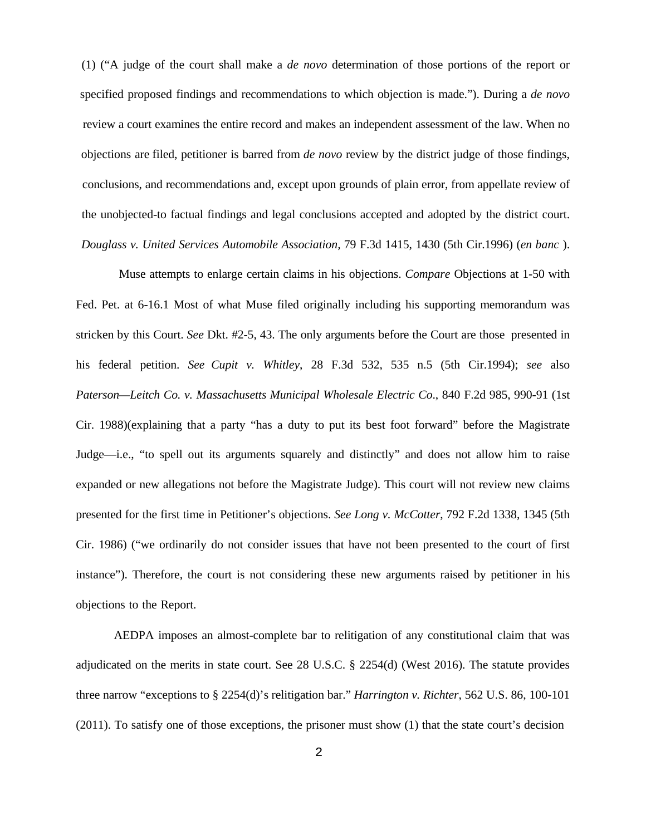(1) ("A judge of the court shall make a *de novo* determination of those portions of the report or specified proposed findings and recommendations to which objection is made."). During a *de novo* review a court examines the entire record and makes an independent assessment of the law. When no objections are filed, petitioner is barred from *de novo* review by the district judge of those findings, conclusions, and recommendations and, except upon grounds of plain error, from appellate review of the unobjected-to factual findings and legal conclusions accepted and adopted by the district court. *Douglass v. United Services Automobile Association,* 79 F.3d 1415, 1430 (5th Cir.1996) (*en banc* ).

Muse attempts to enlarge certain claims in his objections. *Compare* Objections at 1-50 with Fed. Pet. at 6-16.1 Most of what Muse filed originally including his supporting memorandum was stricken by this Court. *See* Dkt. #2-5, 43. The only arguments before the Court are those presented in his federal petition. *See Cupit v. Whitley*, 28 F.3d 532, 535 n.5 (5th Cir.1994); *see* also *Paterson—Leitch Co. v. Massachusetts Municipal Wholesale Electric Co*., 840 F.2d 985, 990-91 (1st Cir. 1988)(explaining that a party "has a duty to put its best foot forward" before the Magistrate Judge—i.e., "to spell out its arguments squarely and distinctly" and does not allow him to raise expanded or new allegations not before the Magistrate Judge). This court will not review new claims presented for the first time in Petitioner's objections. *See Long v. McCotter*, 792 F.2d 1338, 1345 (5th Cir. 1986) ("we ordinarily do not consider issues that have not been presented to the court of first instance"). Therefore, the court is not considering these new arguments raised by petitioner in his objections to the Report.

AEDPA imposes an almost-complete bar to relitigation of any constitutional claim that was adjudicated on the merits in state court. See 28 U.S.C. § 2254(d) (West 2016). The statute provides three narrow "exceptions to § 2254(d)'s relitigation bar." *Harrington v. Richter*, 562 U.S. 86, 100-101 (2011). To satisfy one of those exceptions, the prisoner must show (1) that the state court's decision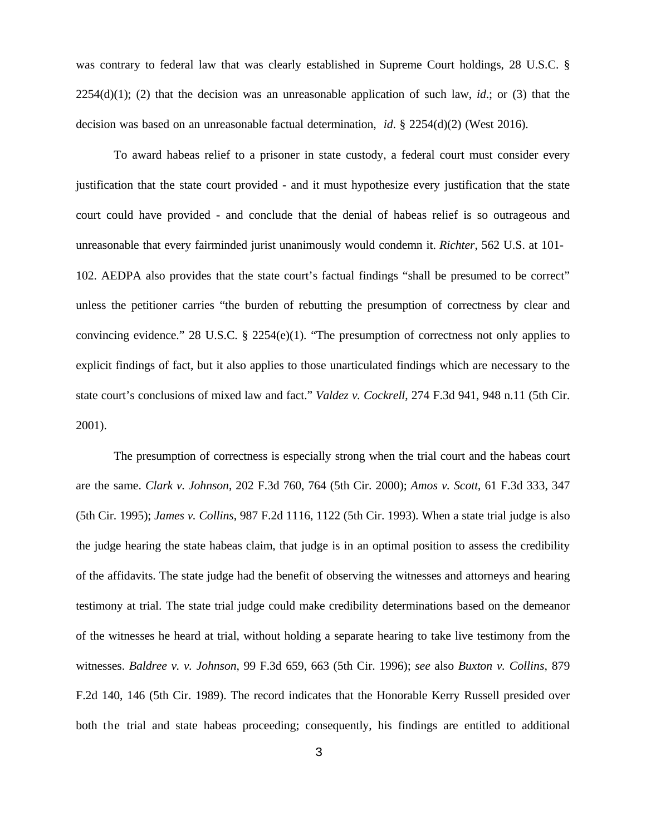was contrary to federal law that was clearly established in Supreme Court holdings, 28 U.S.C. § 2254(d)(1); (2) that the decision was an unreasonable application of such law, *id*.; or (3) that the decision was based on an unreasonable factual determination, *id*. § 2254(d)(2) (West 2016).

To award habeas relief to a prisoner in state custody, a federal court must consider every justification that the state court provided - and it must hypothesize every justification that the state court could have provided - and conclude that the denial of habeas relief is so outrageous and unreasonable that every fairminded jurist unanimously would condemn it. *Richter*, 562 U.S. at 101- 102. AEDPA also provides that the state court's factual findings "shall be presumed to be correct" unless the petitioner carries "the burden of rebutting the presumption of correctness by clear and convincing evidence." 28 U.S.C. § 2254(e)(1). "The presumption of correctness not only applies to explicit findings of fact, but it also applies to those unarticulated findings which are necessary to the state court's conclusions of mixed law and fact." *Valdez v. Cockrell*, 274 F.3d 941, 948 n.11 (5th Cir. 2001).

The presumption of correctness is especially strong when the trial court and the habeas court are the same. *Clark v. Johnson*, 202 F.3d 760, 764 (5th Cir. 2000); *Amos v. Scott*, 61 F.3d 333, 347 (5th Cir. 1995); *James v. Collins*, 987 F.2d 1116, 1122 (5th Cir. 1993). When a state trial judge is also the judge hearing the state habeas claim, that judge is in an optimal position to assess the credibility of the affidavits. The state judge had the benefit of observing the witnesses and attorneys and hearing testimony at trial. The state trial judge could make credibility determinations based on the demeanor of the witnesses he heard at trial, without holding a separate hearing to take live testimony from the witnesses. *Baldree v. v. Johnson*, 99 F.3d 659, 663 (5th Cir. 1996); *see* also *Buxton v. Collins*, 879 F.2d 140, 146 (5th Cir. 1989). The record indicates that the Honorable Kerry Russell presided over both the trial and state habeas proceeding; consequently, his findings are entitled to additional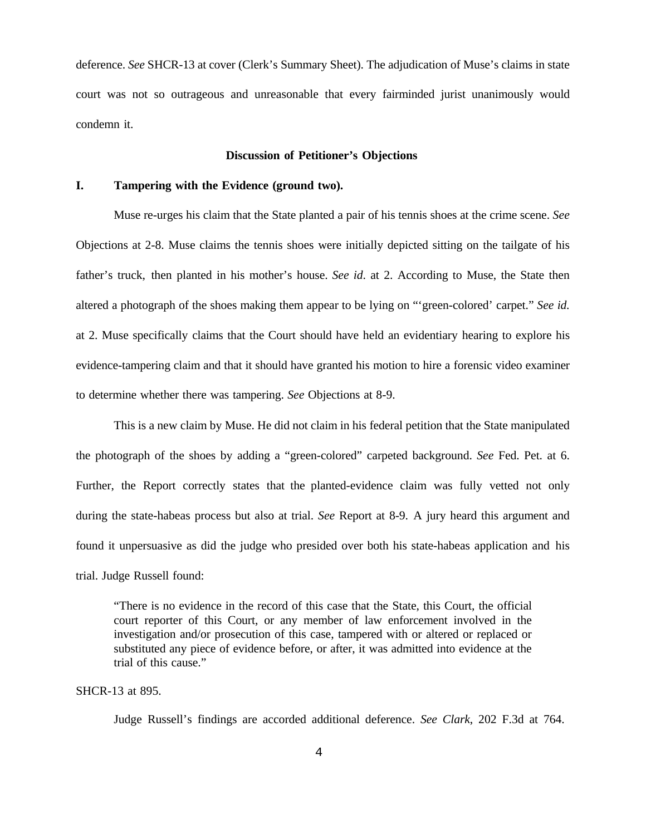deference. *See* SHCR-13 at cover (Clerk's Summary Sheet). The adjudication of Muse's claims in state court was not so outrageous and unreasonable that every fairminded jurist unanimously would condemn it.

#### **Discussion of Petitioner's Objections**

## **I. Tampering with the Evidence (ground two).**

Muse re-urges his claim that the State planted a pair of his tennis shoes at the crime scene. *See* Objections at 2-8. Muse claims the tennis shoes were initially depicted sitting on the tailgate of his father's truck, then planted in his mother's house. *See id*. at 2. According to Muse, the State then altered a photograph of the shoes making them appear to be lying on "'green-colored' carpet." *See id.* at 2. Muse specifically claims that the Court should have held an evidentiary hearing to explore his evidence-tampering claim and that it should have granted his motion to hire a forensic video examiner to determine whether there was tampering. *See* Objections at 8-9.

This is a new claim by Muse. He did not claim in his federal petition that the State manipulated the photograph of the shoes by adding a "green-colored" carpeted background. *See* Fed. Pet. at 6. Further, the Report correctly states that the planted-evidence claim was fully vetted not only during the state-habeas process but also at trial. *See* Report at 8-9. A jury heard this argument and found it unpersuasive as did the judge who presided over both his state-habeas application and his trial. Judge Russell found:

"There is no evidence in the record of this case that the State, this Court, the official court reporter of this Court, or any member of law enforcement involved in the investigation and/or prosecution of this case, tampered with or altered or replaced or substituted any piece of evidence before, or after, it was admitted into evidence at the trial of this cause."

#### SHCR-13 at 895.

Judge Russell's findings are accorded additional deference. *See Clark*, 202 F.3d at 764.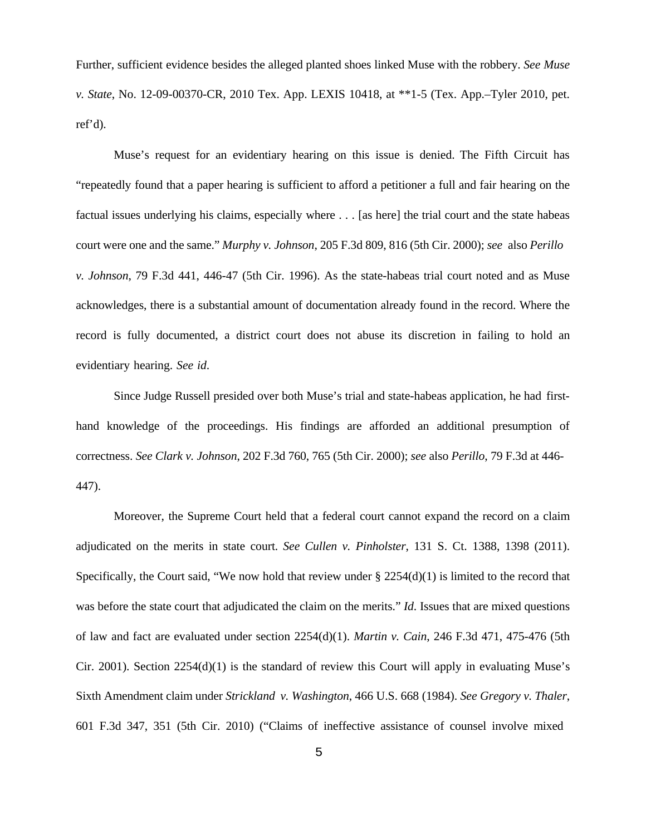Further, sufficient evidence besides the alleged planted shoes linked Muse with the robbery. *See Muse v. State*, No. 12-09-00370-CR, 2010 Tex. App. LEXIS 10418, at \*\*1-5 (Tex. App.–Tyler 2010, pet. ref'd).

Muse's request for an evidentiary hearing on this issue is denied. The Fifth Circuit has "repeatedly found that a paper hearing is sufficient to afford a petitioner a full and fair hearing on the factual issues underlying his claims, especially where . . . [as here] the trial court and the state habeas court were one and the same." *Murphy v. Johnson*, 205 F.3d 809, 816 (5th Cir. 2000); *see* also *Perillo v. Johnson*, 79 F.3d 441, 446-47 (5th Cir. 1996). As the state-habeas trial court noted and as Muse acknowledges, there is a substantial amount of documentation already found in the record. Where the record is fully documented, a district court does not abuse its discretion in failing to hold an evidentiary hearing. *See id*.

Since Judge Russell presided over both Muse's trial and state-habeas application, he had firsthand knowledge of the proceedings. His findings are afforded an additional presumption of correctness. *See Clark v. Johnson*, 202 F.3d 760, 765 (5th Cir. 2000); *see* also *Perillo*, 79 F.3d at 446- 447).

Moreover, the Supreme Court held that a federal court cannot expand the record on a claim adjudicated on the merits in state court. *See Cullen v. Pinholster*, 131 S. Ct. 1388, 1398 (2011). Specifically, the Court said, "We now hold that review under  $\S 2254(d)(1)$  is limited to the record that was before the state court that adjudicated the claim on the merits." *Id*. Issues that are mixed questions of law and fact are evaluated under section 2254(d)(1). *Martin v. Cain*, 246 F.3d 471, 475-476 (5th Cir. 2001). Section  $2254(d)(1)$  is the standard of review this Court will apply in evaluating Muse's Sixth Amendment claim under *Strickland v. Washington*, 466 U.S. 668 (1984). *See Gregory v. Thaler*, 601 F.3d 347, 351 (5th Cir. 2010) ("Claims of ineffective assistance of counsel involve mixed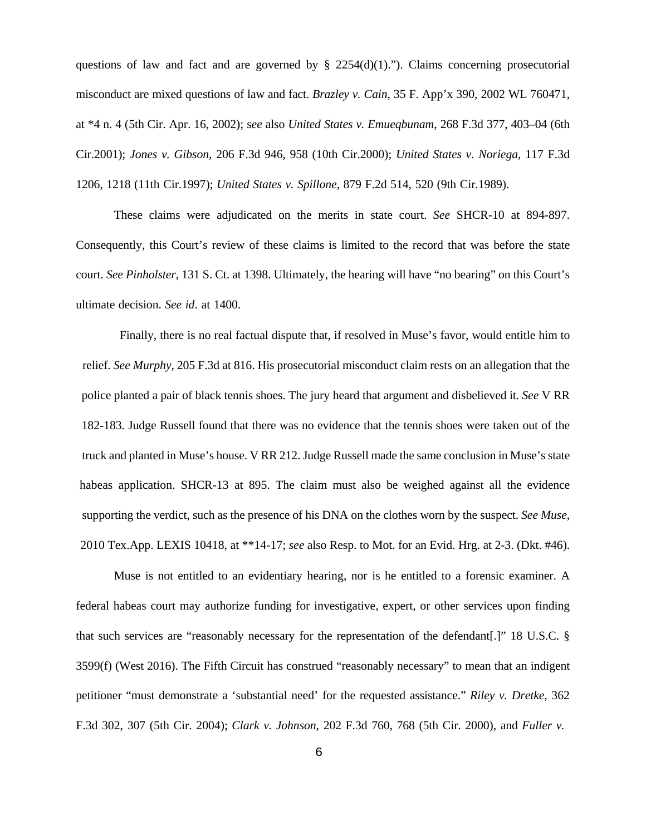questions of law and fact and are governed by  $\S$  2254(d)(1)."). Claims concerning prosecutorial misconduct are mixed questions of law and fact. *Brazley v. Cain*, 35 F. App'x 390, 2002 WL 760471, at \*4 n. 4 (5th Cir. Apr. 16, 2002); s*ee* also *United States v. Emueqbunam*, 268 F.3d 377, 403–04 (6th Cir.2001); *Jones v. Gibson*, 206 F.3d 946, 958 (10th Cir.2000); *United States v. Noriega*, 117 F.3d 1206, 1218 (11th Cir.1997); *United States v. Spillone,* 879 F.2d 514, 520 (9th Cir.1989).

These claims were adjudicated on the merits in state court. *See* SHCR-10 at 894-897. Consequently, this Court's review of these claims is limited to the record that was before the state court. *See Pinholster*, 131 S. Ct. at 1398. Ultimately, the hearing will have "no bearing" on this Court's ultimate decision. *See id*. at 1400.

Finally, there is no real factual dispute that, if resolved in Muse's favor, would entitle him to relief. *See Murphy*, 205 F.3d at 816. His prosecutorial misconduct claim rests on an allegation that the police planted a pair of black tennis shoes. The jury heard that argument and disbelieved it. *See* V RR 182-183. Judge Russell found that there was no evidence that the tennis shoes were taken out of the truck and planted in Muse's house. V RR 212. Judge Russell made the same conclusion in Muse's state habeas application. SHCR-13 at 895. The claim must also be weighed against all the evidence supporting the verdict, such as the presence of his DNA on the clothes worn by the suspect. *See Muse*, 2010 Tex.App. LEXIS 10418, at \*\*14-17; *see* also Resp. to Mot. for an Evid. Hrg. at 2-3. (Dkt. #46).

Muse is not entitled to an evidentiary hearing, nor is he entitled to a forensic examiner. A federal habeas court may authorize funding for investigative, expert, or other services upon finding that such services are "reasonably necessary for the representation of the defendant[.]" 18 U.S.C. § 3599(f) (West 2016). The Fifth Circuit has construed "reasonably necessary" to mean that an indigent petitioner "must demonstrate a 'substantial need' for the requested assistance." *Riley v. Dretke*, 362 F.3d 302, 307 (5th Cir. 2004); *Clark v. Johnson*, 202 F.3d 760, 768 (5th Cir. 2000), and *Fuller v.*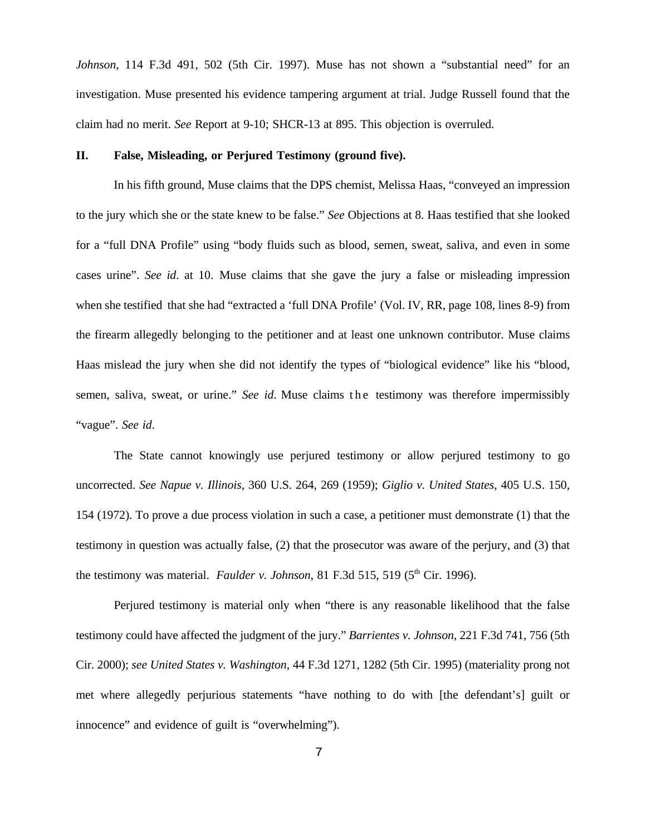*Johnson*, 114 F.3d 491, 502 (5th Cir. 1997). Muse has not shown a "substantial need" for an investigation. Muse presented his evidence tampering argument at trial. Judge Russell found that the claim had no merit. *See* Report at 9-10; SHCR-13 at 895. This objection is overruled.

#### **II. False, Misleading, or Perjured Testimony (ground five).**

In his fifth ground, Muse claims that the DPS chemist, Melissa Haas, "conveyed an impression to the jury which she or the state knew to be false." *See* Objections at 8. Haas testified that she looked for a "full DNA Profile" using "body fluids such as blood, semen, sweat, saliva, and even in some cases urine". *See id*. at 10. Muse claims that she gave the jury a false or misleading impression when she testified that she had "extracted a 'full DNA Profile' (Vol. IV, RR, page 108, lines 8-9) from the firearm allegedly belonging to the petitioner and at least one unknown contributor. Muse claims Haas mislead the jury when she did not identify the types of "biological evidence" like his "blood, semen, saliva, sweat, or urine." *See id*. Muse claims the testimony was therefore impermissibly "vague". *See id*.

The State cannot knowingly use perjured testimony or allow perjured testimony to go uncorrected. *See Napue v. Illinois*, 360 U.S. 264, 269 (1959); *Giglio v. United States*, 405 U.S. 150, 154 (1972). To prove a due process violation in such a case, a petitioner must demonstrate (1) that the testimony in question was actually false, (2) that the prosecutor was aware of the perjury, and (3) that the testimony was material. *Faulder v. Johnson*, 81 F.3d 515, 519 ( $5<sup>th</sup> Cir.$  1996).

Perjured testimony is material only when "there is any reasonable likelihood that the false testimony could have affected the judgment of the jury." *Barrientes v. Johnson*, 221 F.3d 741, 756 (5th Cir. 2000); *see United States v. Washington*, 44 F.3d 1271, 1282 (5th Cir. 1995) (materiality prong not met where allegedly perjurious statements "have nothing to do with [the defendant's] guilt or innocence" and evidence of guilt is "overwhelming").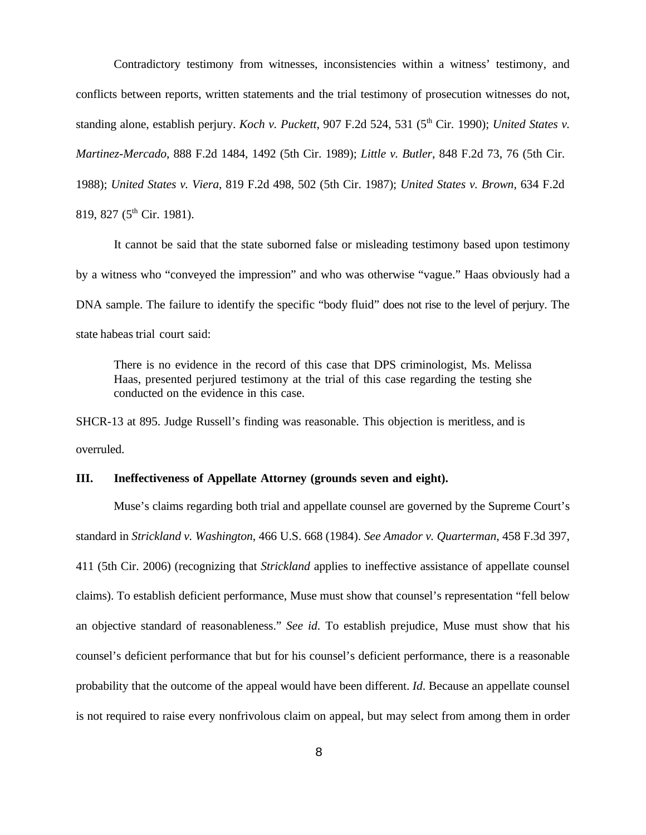Contradictory testimony from witnesses, inconsistencies within a witness' testimony, and conflicts between reports, written statements and the trial testimony of prosecution witnesses do not, standing alone, establish perjury. *Koch v. Puckett*, 907 F.2d 524, 531 (5<sup>th</sup> Cir. 1990); *United States v. Martinez-Mercado*, 888 F.2d 1484, 1492 (5th Cir. 1989); *Little v. Butler*, 848 F.2d 73, 76 (5th Cir. 1988); *United States v. Viera*, 819 F.2d 498, 502 (5th Cir. 1987); *United States v. Brown*, 634 F.2d 819, 827 (5<sup>th</sup> Cir. 1981).

It cannot be said that the state suborned false or misleading testimony based upon testimony by a witness who "conveyed the impression" and who was otherwise "vague." Haas obviously had a DNA sample. The failure to identify the specific "body fluid" does not rise to the level of perjury. The state habeas trial court said:

There is no evidence in the record of this case that DPS criminologist, Ms. Melissa Haas, presented perjured testimony at the trial of this case regarding the testing she conducted on the evidence in this case.

SHCR-13 at 895. Judge Russell's finding was reasonable. This objection is meritless, and is overruled.

#### **III. Ineffectiveness of Appellate Attorney (grounds seven and eight).**

Muse's claims regarding both trial and appellate counsel are governed by the Supreme Court's standard in *Strickland v. Washington*, 466 U.S. 668 (1984). *See Amador v. Quarterman*, 458 F.3d 397, 411 (5th Cir. 2006) (recognizing that *Strickland* applies to ineffective assistance of appellate counsel claims). To establish deficient performance, Muse must show that counsel's representation "fell below an objective standard of reasonableness." *See id*. To establish prejudice, Muse must show that his counsel's deficient performance that but for his counsel's deficient performance, there is a reasonable probability that the outcome of the appeal would have been different. *Id*. Because an appellate counsel is not required to raise every nonfrivolous claim on appeal, but may select from among them in order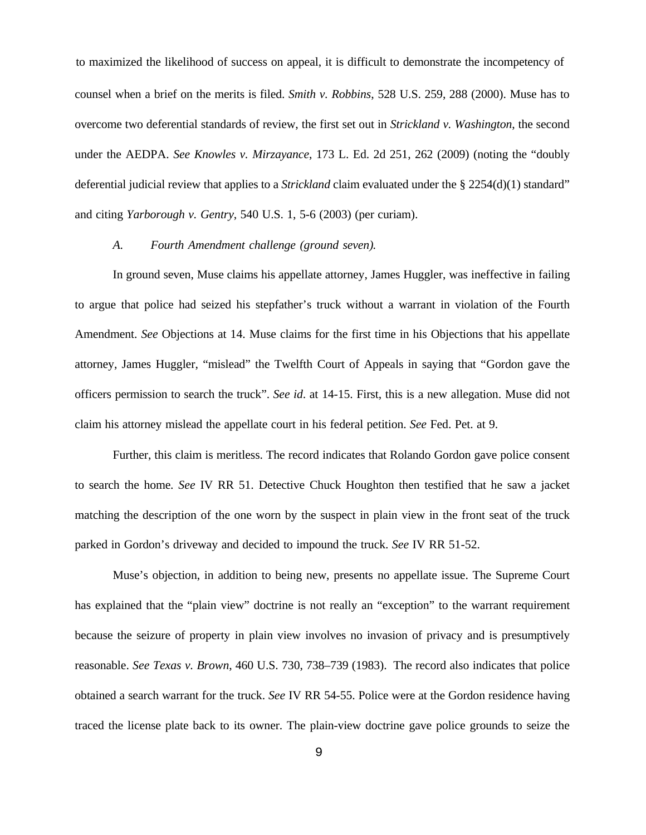to maximized the likelihood of success on appeal, it is difficult to demonstrate the incompetency of counsel when a brief on the merits is filed. *Smith v. Robbins*, 528 U.S. 259, 288 (2000). Muse has to overcome two deferential standards of review, the first set out in *Strickland v. Washington*, the second under the AEDPA. *See Knowles v. Mirzayance*, 173 L. Ed. 2d 251, 262 (2009) (noting the "doubly deferential judicial review that applies to a *Strickland* claim evaluated under the § 2254(d)(1) standard" and citing *Yarborough v. Gentry*, 540 U.S. 1, 5-6 (2003) (per curiam).

### *A. Fourth Amendment challenge (ground seven).*

In ground seven, Muse claims his appellate attorney, James Huggler, was ineffective in failing to argue that police had seized his stepfather's truck without a warrant in violation of the Fourth Amendment. *See* Objections at 14. Muse claims for the first time in his Objections that his appellate attorney, James Huggler, "mislead" the Twelfth Court of Appeals in saying that "Gordon gave the officers permission to search the truck". *See id*. at 14-15. First, this is a new allegation. Muse did not claim his attorney mislead the appellate court in his federal petition. *See* Fed. Pet. at 9.

Further, this claim is meritless. The record indicates that Rolando Gordon gave police consent to search the home. *See* IV RR 51. Detective Chuck Houghton then testified that he saw a jacket matching the description of the one worn by the suspect in plain view in the front seat of the truck parked in Gordon's driveway and decided to impound the truck. *See* IV RR 51-52.

Muse's objection, in addition to being new, presents no appellate issue. The Supreme Court has explained that the "plain view" doctrine is not really an "exception" to the warrant requirement because the seizure of property in plain view involves no invasion of privacy and is presumptively reasonable. *See Texas v. Brown*, 460 U.S. 730, 738–739 (1983). The record also indicates that police obtained a search warrant for the truck. *See* IV RR 54-55. Police were at the Gordon residence having traced the license plate back to its owner. The plain-view doctrine gave police grounds to seize the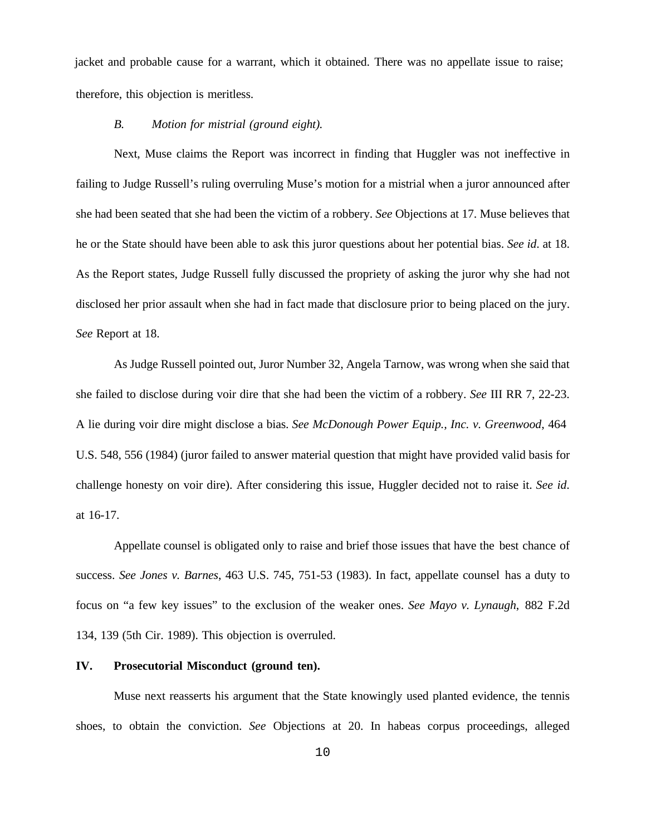jacket and probable cause for a warrant, which it obtained. There was no appellate issue to raise; therefore, this objection is meritless.

### *B. Motion for mistrial (ground eight).*

Next, Muse claims the Report was incorrect in finding that Huggler was not ineffective in failing to Judge Russell's ruling overruling Muse's motion for a mistrial when a juror announced after she had been seated that she had been the victim of a robbery. *See* Objections at 17. Muse believes that he or the State should have been able to ask this juror questions about her potential bias. *See id*. at 18. As the Report states, Judge Russell fully discussed the propriety of asking the juror why she had not disclosed her prior assault when she had in fact made that disclosure prior to being placed on the jury. *See* Report at 18.

As Judge Russell pointed out, Juror Number 32, Angela Tarnow, was wrong when she said that she failed to disclose during voir dire that she had been the victim of a robbery. *See* III RR 7, 22-23. A lie during voir dire might disclose a bias. *See McDonough Power Equip., Inc. v. Greenwood*, 464 U.S. 548, 556 (1984) (juror failed to answer material question that might have provided valid basis for challenge honesty on voir dire). After considering this issue, Huggler decided not to raise it. *See id*. at 16-17.

Appellate counsel is obligated only to raise and brief those issues that have the best chance of success. *See Jones v. Barnes*, 463 U.S. 745, 751-53 (1983). In fact, appellate counsel has a duty to focus on "a few key issues" to the exclusion of the weaker ones. *See Mayo v. Lynaugh*, 882 F.2d 134, 139 (5th Cir. 1989). This objection is overruled.

### **IV. Prosecutorial Misconduct (ground ten).**

Muse next reasserts his argument that the State knowingly used planted evidence, the tennis shoes, to obtain the conviction. *See* Objections at 20. In habeas corpus proceedings, alleged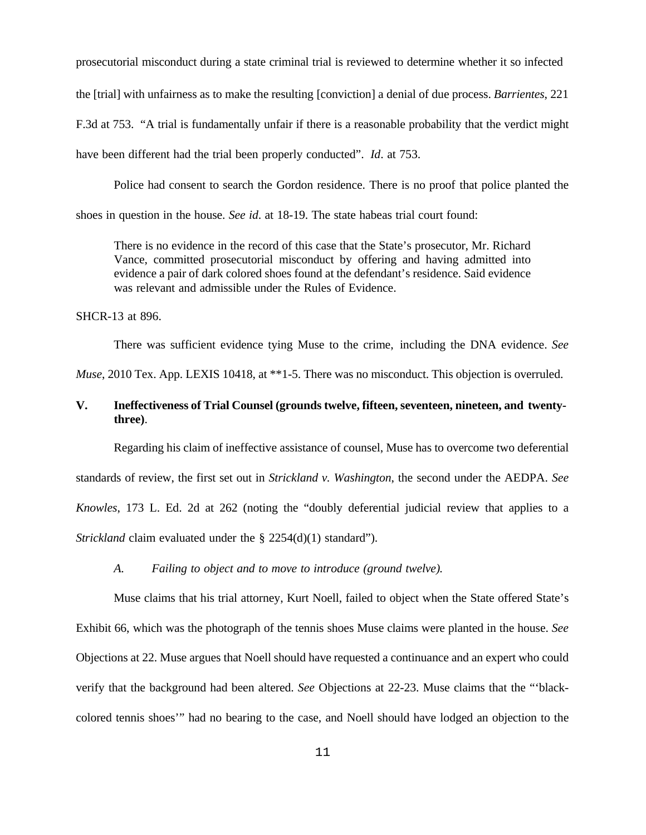prosecutorial misconduct during a state criminal trial is reviewed to determine whether it so infected the [trial] with unfairness as to make the resulting [conviction] a denial of due process. *Barrientes*, 221 F.3d at 753. "A trial is fundamentally unfair if there is a reasonable probability that the verdict might have been different had the trial been properly conducted". *Id*. at 753.

Police had consent to search the Gordon residence. There is no proof that police planted the shoes in question in the house. *See id*. at 18-19. The state habeas trial court found:

There is no evidence in the record of this case that the State's prosecutor, Mr. Richard Vance, committed prosecutorial misconduct by offering and having admitted into evidence a pair of dark colored shoes found at the defendant's residence. Said evidence was relevant and admissible under the Rules of Evidence.

SHCR-13 at 896.

There was sufficient evidence tying Muse to the crime, including the DNA evidence. *See*

*Muse*, 2010 Tex. App. LEXIS 10418, at \*\*1-5. There was no misconduct. This objection is overruled.

# **V. Ineffectiveness of Trial Counsel (grounds twelve, fifteen, seventeen, nineteen, and twentythree)**.

Regarding his claim of ineffective assistance of counsel, Muse has to overcome two deferential standards of review, the first set out in *Strickland v. Washington*, the second under the AEDPA. *See Knowles*, 173 L. Ed. 2d at 262 (noting the "doubly deferential judicial review that applies to a *Strickland* claim evaluated under the § 2254(d)(1) standard").

*A. Failing to object and to move to introduce (ground twelve).*

Muse claims that his trial attorney, Kurt Noell, failed to object when the State offered State's Exhibit 66, which was the photograph of the tennis shoes Muse claims were planted in the house. *See* Objections at 22. Muse argues that Noell should have requested a continuance and an expert who could verify that the background had been altered. *See* Objections at 22-23. Muse claims that the "'blackcolored tennis shoes'" had no bearing to the case, and Noell should have lodged an objection to the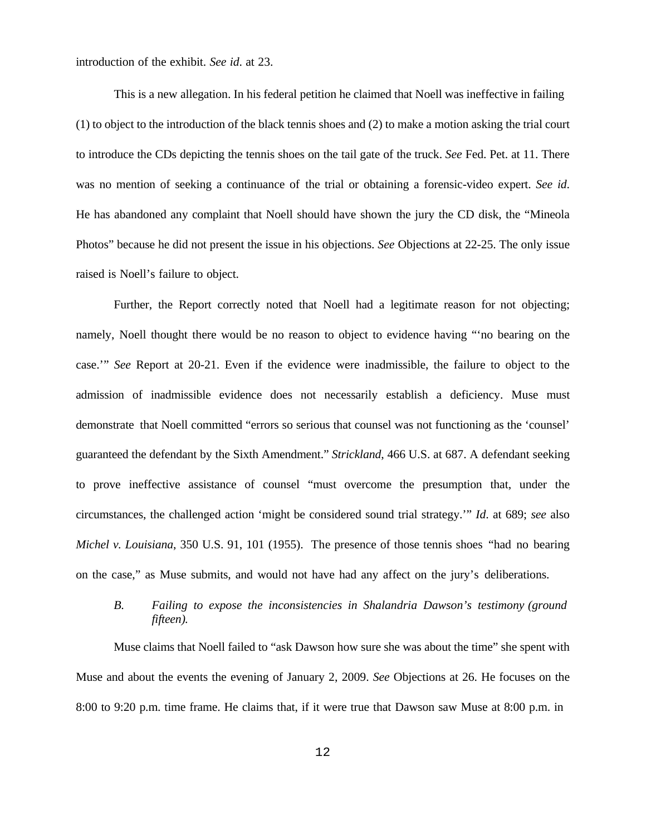introduction of the exhibit. *See id*. at 23.

This is a new allegation. In his federal petition he claimed that Noell was ineffective in failing (1) to object to the introduction of the black tennis shoes and (2) to make a motion asking the trial court to introduce the CDs depicting the tennis shoes on the tail gate of the truck. *See* Fed. Pet. at 11. There was no mention of seeking a continuance of the trial or obtaining a forensic-video expert. *See id*. He has abandoned any complaint that Noell should have shown the jury the CD disk, the "Mineola Photos" because he did not present the issue in his objections. *See* Objections at 22-25. The only issue raised is Noell's failure to object.

Further, the Report correctly noted that Noell had a legitimate reason for not objecting; namely, Noell thought there would be no reason to object to evidence having "'no bearing on the case.'" *See* Report at 20-21. Even if the evidence were inadmissible, the failure to object to the admission of inadmissible evidence does not necessarily establish a deficiency. Muse must demonstrate that Noell committed "errors so serious that counsel was not functioning as the 'counsel' guaranteed the defendant by the Sixth Amendment." *Strickland*, 466 U.S. at 687. A defendant seeking to prove ineffective assistance of counsel "must overcome the presumption that, under the circumstances, the challenged action 'might be considered sound trial strategy.'" *Id*. at 689; *see* also *Michel v. Louisiana*, 350 U.S. 91, 101 (1955). The presence of those tennis shoes "had no bearing on the case," as Muse submits, and would not have had any affect on the jury's deliberations.

# *B. Failing to expose the inconsistencies in Shalandria Dawson's testimony (ground fifteen).*

Muse claims that Noell failed to "ask Dawson how sure she was about the time" she spent with Muse and about the events the evening of January 2, 2009. *See* Objections at 26. He focuses on the 8:00 to 9:20 p.m. time frame. He claims that, if it were true that Dawson saw Muse at 8:00 p.m. in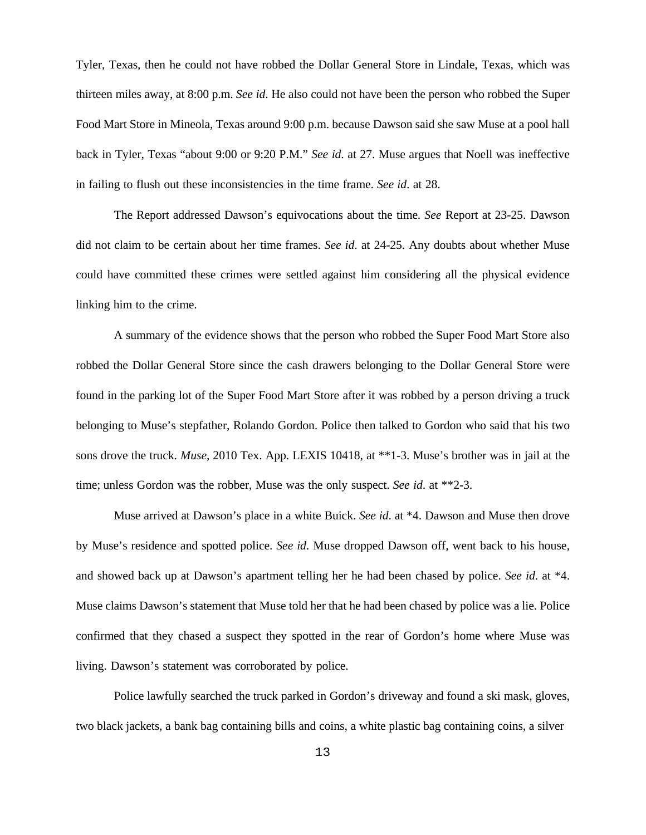Tyler, Texas, then he could not have robbed the Dollar General Store in Lindale, Texas, which was thirteen miles away, at 8:00 p.m. *See id*. He also could not have been the person who robbed the Super Food Mart Store in Mineola, Texas around 9:00 p.m. because Dawson said she saw Muse at a pool hall back in Tyler, Texas "about 9:00 or 9:20 P.M." *See id*. at 27. Muse argues that Noell was ineffective in failing to flush out these inconsistencies in the time frame. *See id*. at 28.

The Report addressed Dawson's equivocations about the time. *See* Report at 23-25. Dawson did not claim to be certain about her time frames. *See id*. at 24-25. Any doubts about whether Muse could have committed these crimes were settled against him considering all the physical evidence linking him to the crime.

A summary of the evidence shows that the person who robbed the Super Food Mart Store also robbed the Dollar General Store since the cash drawers belonging to the Dollar General Store were found in the parking lot of the Super Food Mart Store after it was robbed by a person driving a truck belonging to Muse's stepfather, Rolando Gordon. Police then talked to Gordon who said that his two sons drove the truck. *Muse*, 2010 Tex. App. LEXIS 10418, at \*\*1-3. Muse's brother was in jail at the time; unless Gordon was the robber, Muse was the only suspect. *See id*. at \*\*2-3.

Muse arrived at Dawson's place in a white Buick. *See id*. at \*4. Dawson and Muse then drove by Muse's residence and spotted police. *See id*. Muse dropped Dawson off, went back to his house, and showed back up at Dawson's apartment telling her he had been chased by police. *See id*. at \*4. Muse claims Dawson's statement that Muse told her that he had been chased by police was a lie. Police confirmed that they chased a suspect they spotted in the rear of Gordon's home where Muse was living. Dawson's statement was corroborated by police.

Police lawfully searched the truck parked in Gordon's driveway and found a ski mask, gloves, two black jackets, a bank bag containing bills and coins, a white plastic bag containing coins, a silver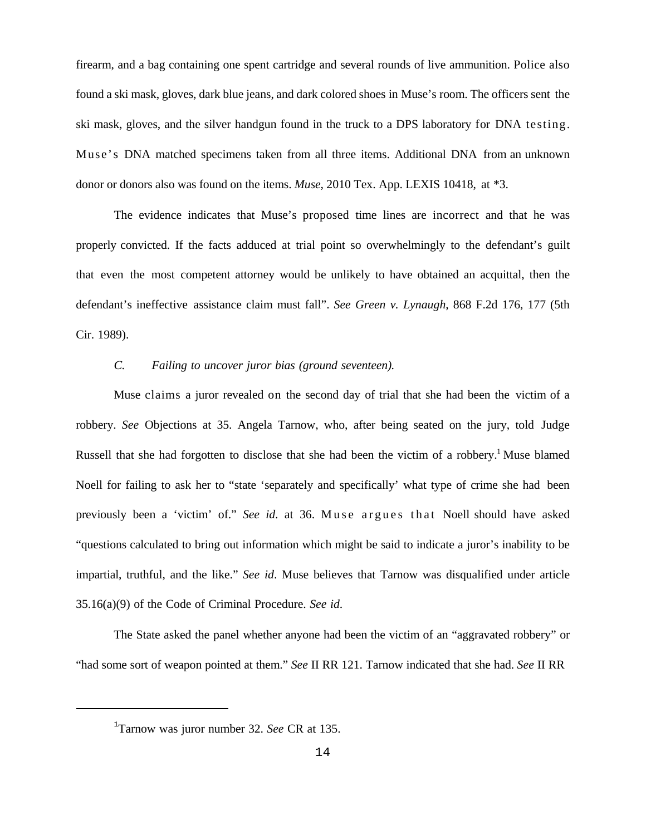firearm, and a bag containing one spent cartridge and several rounds of live ammunition. Police also found a ski mask, gloves, dark blue jeans, and dark colored shoes in Muse's room. The officers sent the ski mask, gloves, and the silver handgun found in the truck to a DPS laboratory for DNA testing. Muse's DNA matched specimens taken from all three items. Additional DNA from an unknown donor or donors also was found on the items. *Muse*, 2010 Tex. App. LEXIS 10418, at \*3.

The evidence indicates that Muse's proposed time lines are incorrect and that he was properly convicted. If the facts adduced at trial point so overwhelmingly to the defendant's guilt that even the most competent attorney would be unlikely to have obtained an acquittal, then the defendant's ineffective assistance claim must fall". *See Green v. Lynaugh*, 868 F.2d 176, 177 (5th Cir. 1989).

## *C. Failing to uncover juror bias (ground seventeen).*

Muse claims a juror revealed on the second day of trial that she had been the victim of a robbery. *See* Objections at 35. Angela Tarnow, who, after being seated on the jury, told Judge Russell that she had forgotten to disclose that she had been the victim of a robbery.<sup>1</sup> Muse blamed Noell for failing to ask her to "state 'separately and specifically' what type of crime she had been previously been a 'victim' of." *See id.* at 36. Muse argues that Noell should have asked "questions calculated to bring out information which might be said to indicate a juror's inability to be impartial, truthful, and the like." *See id*. Muse believes that Tarnow was disqualified under article 35.16(a)(9) of the Code of Criminal Procedure. *See id*.

The State asked the panel whether anyone had been the victim of an "aggravated robbery" or "had some sort of weapon pointed at them." *See* II RR 121. Tarnow indicated that she had. *See* II RR

<sup>1</sup> Tarnow was juror number 32. *See* CR at 135.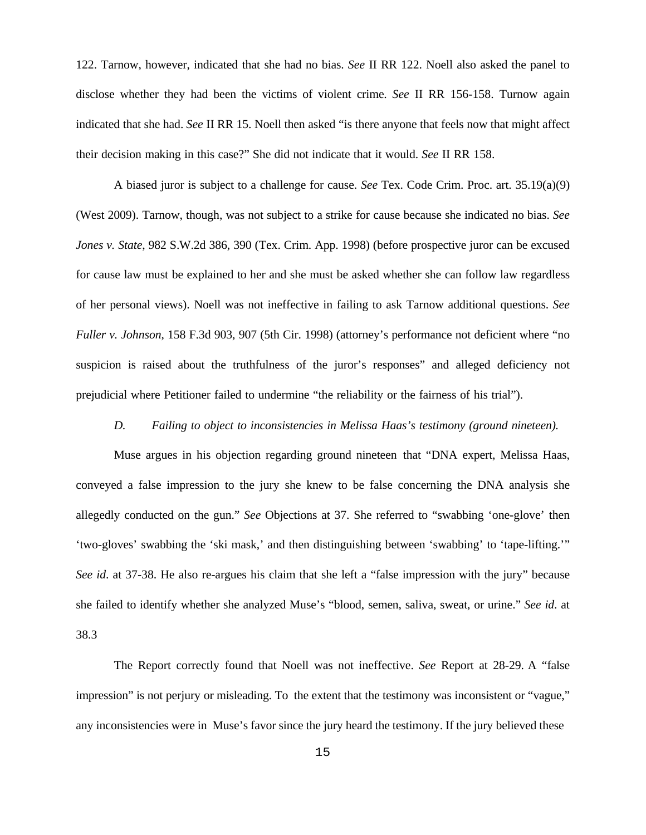122. Tarnow, however, indicated that she had no bias. *See* II RR 122. Noell also asked the panel to disclose whether they had been the victims of violent crime. *See* II RR 156-158. Turnow again indicated that she had. *See* II RR 15. Noell then asked "is there anyone that feels now that might affect their decision making in this case?" She did not indicate that it would. *See* II RR 158.

A biased juror is subject to a challenge for cause. *See* Tex. Code Crim. Proc. art. 35.19(a)(9) (West 2009). Tarnow, though, was not subject to a strike for cause because she indicated no bias. *See Jones v. State*, 982 S.W.2d 386, 390 (Tex. Crim. App. 1998) (before prospective juror can be excused for cause law must be explained to her and she must be asked whether she can follow law regardless of her personal views). Noell was not ineffective in failing to ask Tarnow additional questions. *See Fuller v. Johnson*, 158 F.3d 903, 907 (5th Cir. 1998) (attorney's performance not deficient where "no suspicion is raised about the truthfulness of the juror's responses" and alleged deficiency not prejudicial where Petitioner failed to undermine "the reliability or the fairness of his trial").

## *D. Failing to object to inconsistencies in Melissa Haas's testimony (ground nineteen).*

Muse argues in his objection regarding ground nineteen that "DNA expert, Melissa Haas, conveyed a false impression to the jury she knew to be false concerning the DNA analysis she allegedly conducted on the gun." *See* Objections at 37. She referred to "swabbing 'one-glove' then 'two-gloves' swabbing the 'ski mask,' and then distinguishing between 'swabbing' to 'tape-lifting.'" *See id*. at 37-38. He also re-argues his claim that she left a "false impression with the jury" because she failed to identify whether she analyzed Muse's "blood, semen, saliva, sweat, or urine." *See id*. at 38.3

The Report correctly found that Noell was not ineffective. *See* Report at 28-29. A "false impression" is not perjury or misleading. To the extent that the testimony was inconsistent or "vague," any inconsistencies were in Muse's favor since the jury heard the testimony. If the jury believed these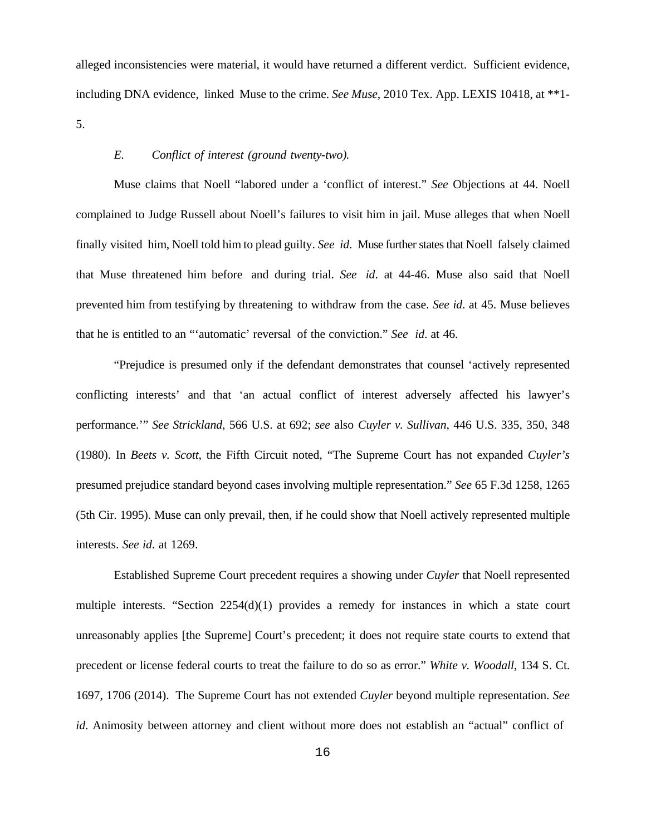alleged inconsistencies were material, it would have returned a different verdict. Sufficient evidence, including DNA evidence, linked Muse to the crime. *See Muse*, 2010 Tex. App. LEXIS 10418, at \*\*1- 5.

### *E. Conflict of interest (ground twenty-two).*

Muse claims that Noell "labored under a 'conflict of interest." *See* Objections at 44. Noell complained to Judge Russell about Noell's failures to visit him in jail. Muse alleges that when Noell finally visited him, Noell told him to plead guilty. *See id*. Muse further states that Noell falsely claimed that Muse threatened him before and during trial. *See id*. at 44-46. Muse also said that Noell prevented him from testifying by threatening to withdraw from the case. *See id*. at 45. Muse believes that he is entitled to an "'automatic' reversal of the conviction." *See id*. at 46.

"Prejudice is presumed only if the defendant demonstrates that counsel 'actively represented conflicting interests' and that 'an actual conflict of interest adversely affected his lawyer's performance.'" *See Strickland*, 566 U.S. at 692; *see* also *Cuyler v. Sullivan*, 446 U.S. 335, 350, 348 (1980). In *Beets v. Scott*, the Fifth Circuit noted, "The Supreme Court has not expanded *Cuyler's* presumed prejudice standard beyond cases involving multiple representation." *See* 65 F.3d 1258, 1265 (5th Cir. 1995). Muse can only prevail, then, if he could show that Noell actively represented multiple interests. *See id*. at 1269.

Established Supreme Court precedent requires a showing under *Cuyler* that Noell represented multiple interests. "Section  $2254(d)(1)$  provides a remedy for instances in which a state court unreasonably applies [the Supreme] Court's precedent; it does not require state courts to extend that precedent or license federal courts to treat the failure to do so as error." *White v. Woodall*, 134 S. Ct. 1697, 1706 (2014). The Supreme Court has not extended *Cuyler* beyond multiple representation. *See id*. Animosity between attorney and client without more does not establish an "actual" conflict of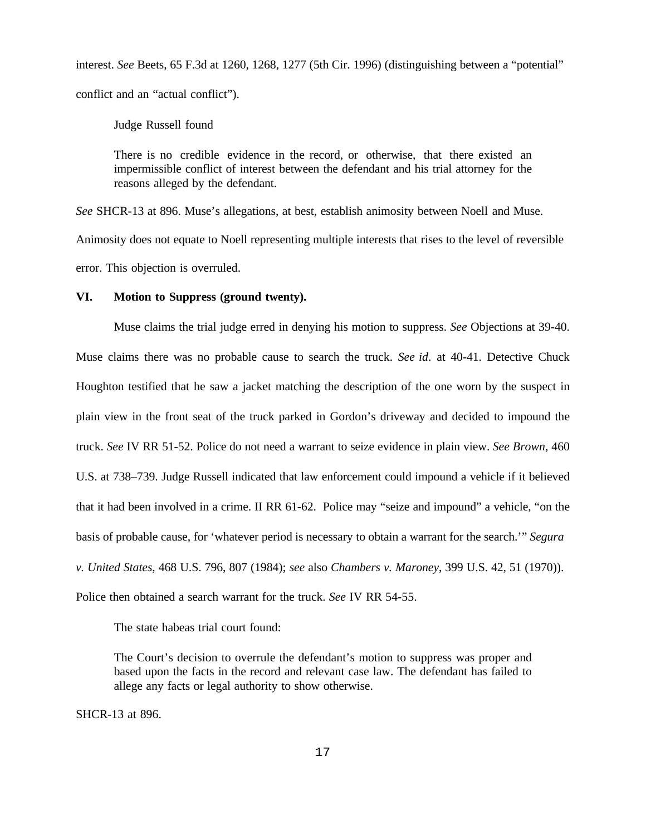interest. *See* Beets, 65 F.3d at 1260, 1268, 1277 (5th Cir. 1996) (distinguishing between a "potential" conflict and an "actual conflict").

Judge Russell found

There is no credible evidence in the record, or otherwise, that there existed an impermissible conflict of interest between the defendant and his trial attorney for the reasons alleged by the defendant.

*See* SHCR-13 at 896. Muse's allegations, at best, establish animosity between Noell and Muse. Animosity does not equate to Noell representing multiple interests that rises to the level of reversible error. This objection is overruled.

## **VI. Motion to Suppress (ground twenty).**

Muse claims the trial judge erred in denying his motion to suppress. *See* Objections at 39-40. Muse claims there was no probable cause to search the truck. *See id*. at 40-41. Detective Chuck Houghton testified that he saw a jacket matching the description of the one worn by the suspect in plain view in the front seat of the truck parked in Gordon's driveway and decided to impound the truck. *See* IV RR 51-52. Police do not need a warrant to seize evidence in plain view. *See Brown*, 460 U.S. at 738–739. Judge Russell indicated that law enforcement could impound a vehicle if it believed that it had been involved in a crime. II RR 61-62. Police may "seize and impound" a vehicle, "on the basis of probable cause, for 'whatever period is necessary to obtain a warrant for the search.'" *Segura v. United States*, 468 U.S. 796, 807 (1984); *see* also *Chambers v. Maroney*, 399 U.S. 42, 51 (1970)). Police then obtained a search warrant for the truck. *See* IV RR 54-55.

The state habeas trial court found:

The Court's decision to overrule the defendant's motion to suppress was proper and based upon the facts in the record and relevant case law. The defendant has failed to allege any facts or legal authority to show otherwise.

SHCR-13 at 896.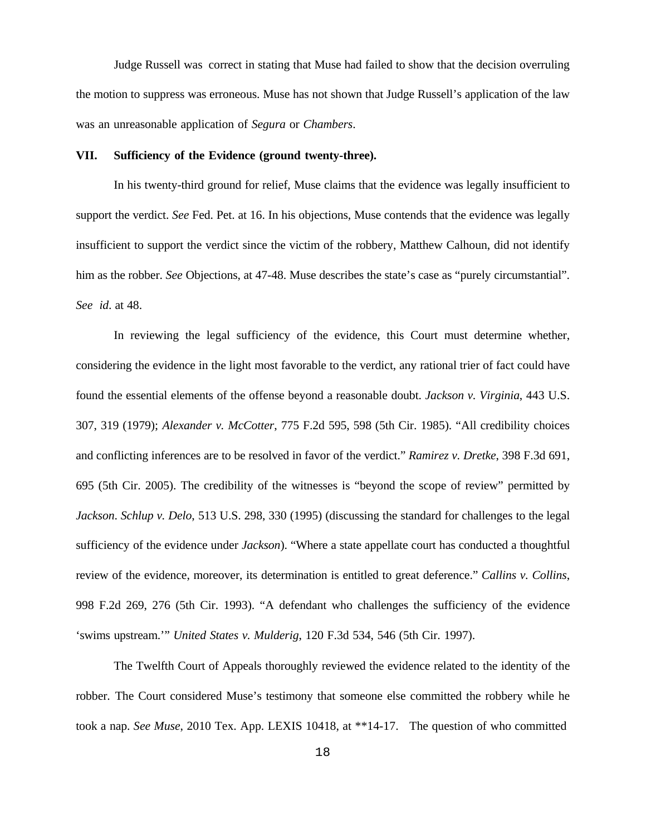Judge Russell was correct in stating that Muse had failed to show that the decision overruling the motion to suppress was erroneous. Muse has not shown that Judge Russell's application of the law was an unreasonable application of *Segura* or *Chambers*.

#### **VII. Sufficiency of the Evidence (ground twenty-three).**

In his twenty-third ground for relief, Muse claims that the evidence was legally insufficient to support the verdict. *See* Fed. Pet. at 16. In his objections, Muse contends that the evidence was legally insufficient to support the verdict since the victim of the robbery, Matthew Calhoun, did not identify him as the robber. *See* Objections, at 47-48. Muse describes the state's case as "purely circumstantial". *See id*. at 48.

In reviewing the legal sufficiency of the evidence, this Court must determine whether, considering the evidence in the light most favorable to the verdict, any rational trier of fact could have found the essential elements of the offense beyond a reasonable doubt. *Jackson v. Virginia*, 443 U.S. 307, 319 (1979); *Alexander v. McCotter*, 775 F.2d 595, 598 (5th Cir. 1985). "All credibility choices and conflicting inferences are to be resolved in favor of the verdict." *Ramirez v. Dretke*, 398 F.3d 691, 695 (5th Cir. 2005). The credibility of the witnesses is "beyond the scope of review" permitted by *Jackson*. *Schlup v. Delo*, 513 U.S. 298, 330 (1995) (discussing the standard for challenges to the legal sufficiency of the evidence under *Jackson*). "Where a state appellate court has conducted a thoughtful review of the evidence, moreover, its determination is entitled to great deference." *Callins v. Collins*, 998 F.2d 269, 276 (5th Cir. 1993). "A defendant who challenges the sufficiency of the evidence 'swims upstream.'" *United States v. Mulderig*, 120 F.3d 534, 546 (5th Cir. 1997).

The Twelfth Court of Appeals thoroughly reviewed the evidence related to the identity of the robber. The Court considered Muse's testimony that someone else committed the robbery while he took a nap. *See Muse*, 2010 Tex. App. LEXIS 10418, at \*\*14-17. The question of who committed